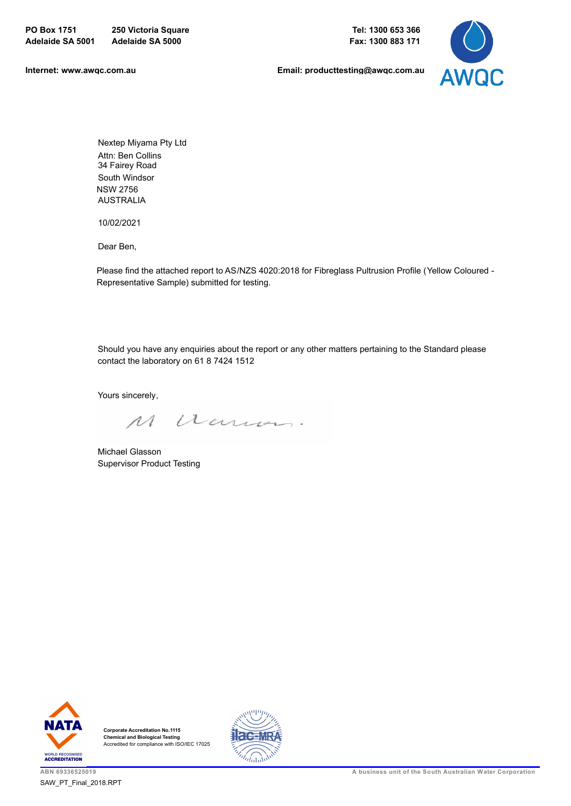

Nextep Miyama Pty Ltd Attn: Ben Collins 34 Fairey Road AUSTRALIA South Windsor NSW 2756

10/02/2021

Dear Ben,

Please find the attached report to AS/NZS 4020:2018 for Fibreglass Pultrusion Profile (Yellow Coloured - Representative Sample) submitted for testing.

Should you have any enquiries about the report or any other matters pertaining to the Standard please contact the laboratory on 61 8 7424 1512

Yours sincerely,

M Warron

Michael Glasson Supervisor Product Testing



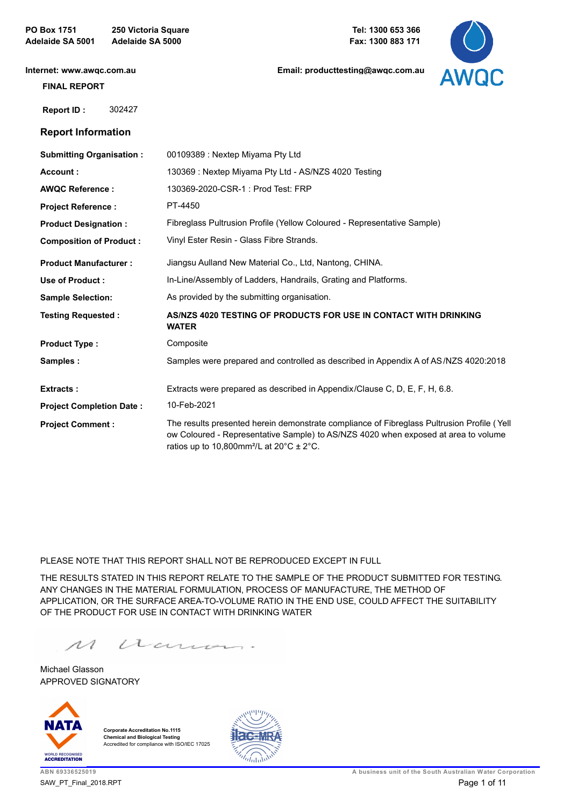**Internet: www.awqc.com.au**

**Email: producttesting@awqc.com.au**



### **FINAL REPORT**

 **[Report ID :](https://www.awqc.com.au)** 302427

## **Report Information**

| <b>Submitting Organisation:</b> | 00109389 : Nextep Miyama Pty Ltd                                                                                                                                                                                                                             |
|---------------------------------|--------------------------------------------------------------------------------------------------------------------------------------------------------------------------------------------------------------------------------------------------------------|
| Account:                        | 130369 : Nextep Miyama Pty Ltd - AS/NZS 4020 Testing                                                                                                                                                                                                         |
| <b>AWQC Reference:</b>          | 130369-2020-CSR-1: Prod Test: FRP                                                                                                                                                                                                                            |
| <b>Project Reference:</b>       | PT-4450                                                                                                                                                                                                                                                      |
| <b>Product Designation:</b>     | Fibreglass Pultrusion Profile (Yellow Coloured - Representative Sample)                                                                                                                                                                                      |
| <b>Composition of Product:</b>  | Vinyl Ester Resin - Glass Fibre Strands.                                                                                                                                                                                                                     |
| <b>Product Manufacturer:</b>    | Jiangsu Aulland New Material Co., Ltd, Nantong, CHINA.                                                                                                                                                                                                       |
| Use of Product:                 | In-Line/Assembly of Ladders, Handrails, Grating and Platforms.                                                                                                                                                                                               |
| <b>Sample Selection:</b>        | As provided by the submitting organisation.                                                                                                                                                                                                                  |
| <b>Testing Requested:</b>       | AS/NZS 4020 TESTING OF PRODUCTS FOR USE IN CONTACT WITH DRINKING<br><b>WATER</b>                                                                                                                                                                             |
| <b>Product Type:</b>            | Composite                                                                                                                                                                                                                                                    |
| Samples:                        | Samples were prepared and controlled as described in Appendix A of AS/NZS 4020:2018                                                                                                                                                                          |
| <b>Extracts:</b>                | Extracts were prepared as described in Appendix/Clause C, D, E, F, H, 6.8.                                                                                                                                                                                   |
| <b>Project Completion Date:</b> | 10-Feb-2021                                                                                                                                                                                                                                                  |
| <b>Project Comment:</b>         | The results presented herein demonstrate compliance of Fibreglass Pultrusion Profile (Yell<br>ow Coloured - Representative Sample) to AS/NZS 4020 when exposed at area to volume<br>ratios up to 10,800mm <sup>2</sup> /L at 20 $\degree$ C ± 2 $\degree$ C. |
|                                 |                                                                                                                                                                                                                                                              |

PLEASE NOTE THAT THIS REPORT SHALL NOT BE REPRODUCED EXCEPT IN FULL

THE RESULTS STATED IN THIS REPORT RELATE TO THE SAMPLE OF THE PRODUCT SUBMITTED FOR TESTING. ANY CHANGES IN THE MATERIAL FORMULATION, PROCESS OF MANUFACTURE, THE METHOD OF APPLICATION, OR THE SURFACE AREA-TO-VOLUME RATIO IN THE END USE, COULD AFFECT THE SUITABILITY OF THE PRODUCT FOR USE IN CONTACT WITH DRINKING WATER

 $\overline{\mathcal{M}}$ Warren

APPROVED SIGNATORY Michael Glasson



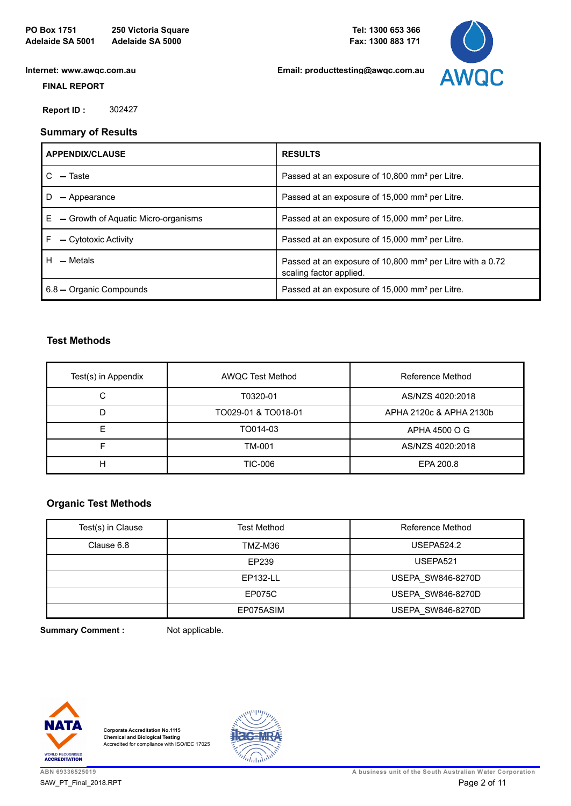

 **FINAL REPORT**

 **[Report ID :](https://www.awqc.com.au)** 302427

# **Summary of Results**

| <b>APPENDIX/CLAUSE</b>                    | <b>RESULTS</b>                                                                                   |
|-------------------------------------------|--------------------------------------------------------------------------------------------------|
| - Taste                                   | Passed at an exposure of 10,800 mm <sup>2</sup> per Litre.                                       |
| - Appearance                              | Passed at an exposure of 15,000 mm <sup>2</sup> per Litre.                                       |
| E.<br>- Growth of Aquatic Micro-organisms | Passed at an exposure of 15,000 mm <sup>2</sup> per Litre.                                       |
| - Cytotoxic Activity                      | Passed at an exposure of 15,000 mm <sup>2</sup> per Litre.                                       |
| H.<br>- Metals                            | Passed at an exposure of 10,800 mm <sup>2</sup> per Litre with a 0.72<br>scaling factor applied. |
| 6.8 - Organic Compounds                   | Passed at an exposure of 15,000 mm <sup>2</sup> per Litre.                                       |

## **Test Methods**

| Test(s) in Appendix | <b>AWQC Test Method</b> | Reference Method        |
|---------------------|-------------------------|-------------------------|
| С                   | T0320-01                | AS/NZS 4020:2018        |
| D                   | TO029-01 & TO018-01     | APHA 2120c & APHA 2130b |
|                     | TO014-03                | APHA 4500 O G           |
|                     | TM-001                  | AS/NZS 4020:2018        |
| H                   | <b>TIC-006</b>          | EPA 200.8               |

## **Organic Test Methods**

| Test(s) in Clause | <b>Test Method</b>           | Reference Method         |
|-------------------|------------------------------|--------------------------|
| Clause 6.8        | TMZ-M36<br><b>USEPA524.2</b> |                          |
|                   | EP239                        | USEPA521                 |
|                   | EP132-LL                     | <b>USEPA SW846-8270D</b> |
|                   | EP075C                       | <b>USEPA SW846-8270D</b> |
|                   | EP075ASIM                    | <b>USEPA SW846-8270D</b> |

**Summary Comment :** Not applicable.



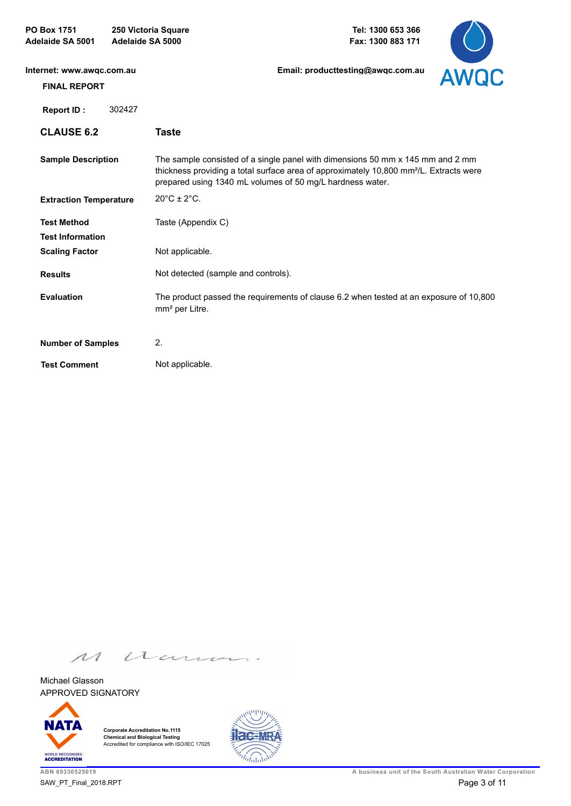| Internet: www.awgc.com.au<br><b>FINAL REPORT</b> | Email: producttesting@awgc.com.au                                                                                                                                                                                                                 | <b>AWQC</b> |
|--------------------------------------------------|---------------------------------------------------------------------------------------------------------------------------------------------------------------------------------------------------------------------------------------------------|-------------|
| 302427<br>Report ID:                             |                                                                                                                                                                                                                                                   |             |
| <b>CLAUSE 6.2</b>                                | <b>Taste</b>                                                                                                                                                                                                                                      |             |
| <b>Sample Description</b>                        | The sample consisted of a single panel with dimensions 50 mm x 145 mm and 2 mm<br>thickness providing a total surface area of approximately 10,800 mm <sup>2</sup> /L. Extracts were<br>prepared using 1340 mL volumes of 50 mg/L hardness water. |             |
| <b>Extraction Temperature</b>                    | $20^{\circ}$ C ± $2^{\circ}$ C.                                                                                                                                                                                                                   |             |
| <b>Test Method</b>                               | Taste (Appendix C)                                                                                                                                                                                                                                |             |
| <b>Test Information</b>                          |                                                                                                                                                                                                                                                   |             |
| <b>Scaling Factor</b>                            | Not applicable.                                                                                                                                                                                                                                   |             |
| <b>Results</b>                                   | Not detected (sample and controls).                                                                                                                                                                                                               |             |
| <b>Evaluation</b>                                | The product passed the requirements of clause 6.2 when tested at an exposure of 10,800<br>mm <sup>2</sup> per Litre.                                                                                                                              |             |
| <b>Number of Samples</b>                         | 2.                                                                                                                                                                                                                                                |             |
| <b>Test Comment</b>                              | Not applicable.                                                                                                                                                                                                                                   |             |

 $\overline{\mathcal{M}}$ Warren

APPROVED SIGNATORY Michael Glasson



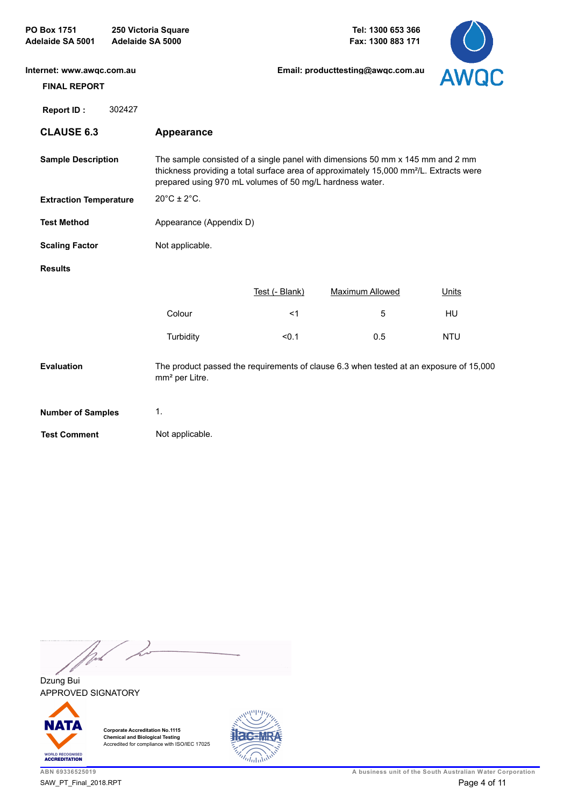| Internet: www.awgc.com.au     |                                  | Email: producttesting@awqc.com.au                        |                                                                                                                                                                                      |             |
|-------------------------------|----------------------------------|----------------------------------------------------------|--------------------------------------------------------------------------------------------------------------------------------------------------------------------------------------|-------------|
| <b>FINAL REPORT</b>           |                                  |                                                          |                                                                                                                                                                                      | <b>AWQC</b> |
| 302427<br><b>Report ID:</b>   |                                  |                                                          |                                                                                                                                                                                      |             |
| <b>CLAUSE 6.3</b>             | <b>Appearance</b>                |                                                          |                                                                                                                                                                                      |             |
| <b>Sample Description</b>     |                                  | prepared using 970 mL volumes of 50 mg/L hardness water. | The sample consisted of a single panel with dimensions 50 mm x 145 mm and 2 mm<br>thickness providing a total surface area of approximately 15,000 mm <sup>2</sup> /L. Extracts were |             |
| <b>Extraction Temperature</b> | $20^{\circ}$ C ± 2 $^{\circ}$ C. |                                                          |                                                                                                                                                                                      |             |
| <b>Test Method</b>            | Appearance (Appendix D)          |                                                          |                                                                                                                                                                                      |             |
| <b>Scaling Factor</b>         | Not applicable.                  |                                                          |                                                                                                                                                                                      |             |
| <b>Results</b>                |                                  |                                                          |                                                                                                                                                                                      |             |
|                               |                                  | Test (- Blank)                                           | <b>Maximum Allowed</b>                                                                                                                                                               | Units       |
|                               | Colour                           | $<$ 1                                                    | 5                                                                                                                                                                                    | HU          |
|                               | Turbidity                        | < 0.1                                                    | 0.5                                                                                                                                                                                  | <b>NTU</b>  |
| <b>Evaluation</b>             | mm <sup>2</sup> per Litre.       |                                                          | The product passed the requirements of clause 6.3 when tested at an exposure of 15,000                                                                                               |             |
| <b>Number of Samples</b>      | 1.                               |                                                          |                                                                                                                                                                                      |             |
| <b>Test Comment</b>           | Not applicable.                  |                                                          |                                                                                                                                                                                      |             |

Work / <sub>11</sub>

APPROVED SIGNATORY Dzung Bui



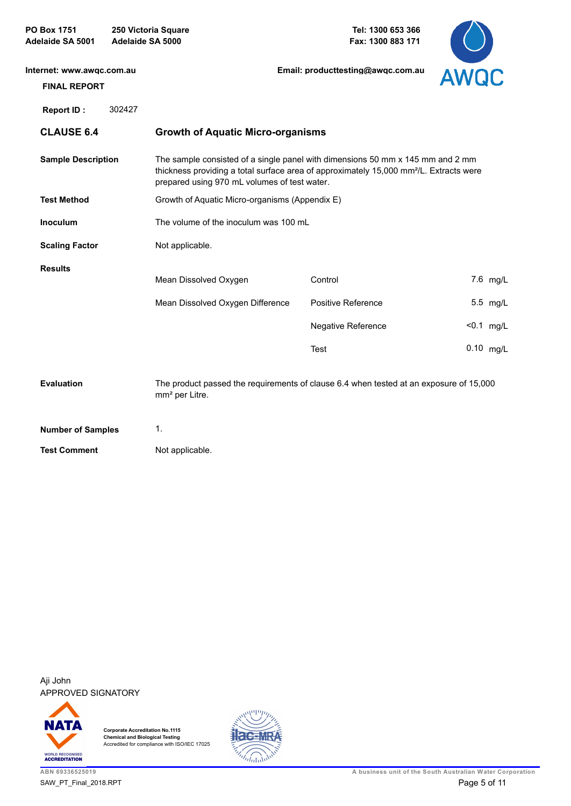| Internet: www.awgc.com.au<br><b>FINAL REPORT</b> |                                                                                                                                                                                                                                      | Email: producttesting@awgc.com.au | <b>AWQC</b>  |
|--------------------------------------------------|--------------------------------------------------------------------------------------------------------------------------------------------------------------------------------------------------------------------------------------|-----------------------------------|--------------|
| 302427<br>Report ID:                             |                                                                                                                                                                                                                                      |                                   |              |
| <b>CLAUSE 6.4</b>                                | <b>Growth of Aquatic Micro-organisms</b>                                                                                                                                                                                             |                                   |              |
| <b>Sample Description</b>                        | The sample consisted of a single panel with dimensions 50 mm x 145 mm and 2 mm<br>thickness providing a total surface area of approximately 15,000 mm <sup>2</sup> /L. Extracts were<br>prepared using 970 mL volumes of test water. |                                   |              |
| <b>Test Method</b>                               | Growth of Aquatic Micro-organisms (Appendix E)                                                                                                                                                                                       |                                   |              |
| <b>Inoculum</b>                                  | The volume of the inoculum was 100 mL                                                                                                                                                                                                |                                   |              |
| <b>Scaling Factor</b>                            | Not applicable.                                                                                                                                                                                                                      |                                   |              |
| <b>Results</b>                                   | Mean Dissolved Oxygen                                                                                                                                                                                                                | Control                           | 7.6 mg/L     |
|                                                  | Mean Dissolved Oxygen Difference                                                                                                                                                                                                     | Positive Reference                | 5.5 mg/L     |
|                                                  |                                                                                                                                                                                                                                      | Negative Reference                | $< 0.1$ mg/L |
|                                                  |                                                                                                                                                                                                                                      | <b>Test</b>                       | $0.10$ mg/L  |
| <b>Evaluation</b>                                | The product passed the requirements of clause 6.4 when tested at an exposure of 15,000<br>mm <sup>2</sup> per Litre.                                                                                                                 |                                   |              |
| <b>Number of Samples</b>                         | 1.                                                                                                                                                                                                                                   |                                   |              |
| <b>Test Comment</b>                              | Not applicable.                                                                                                                                                                                                                      |                                   |              |

APPROVED SIGNATORY Aji John



**Corporate Accreditation No.1115 Chemical and Biological Testing** Accredited for compliance with ISO/IEC 17025



 $\smile$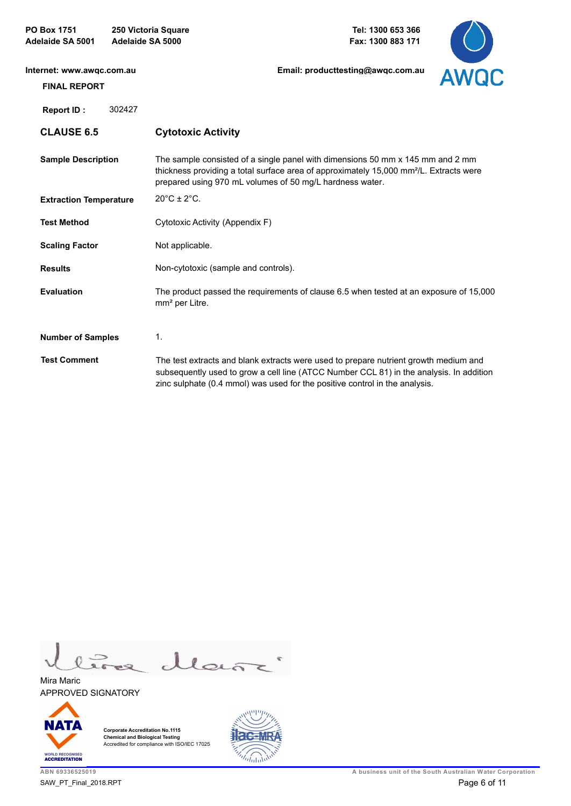| Internet: www.awgc.com.au<br><b>FINAL REPORT</b> | Email: producttesting@awgc.com.au<br><b>AWQC</b>                                                                                                                                                                                                               |
|--------------------------------------------------|----------------------------------------------------------------------------------------------------------------------------------------------------------------------------------------------------------------------------------------------------------------|
| 302427<br>Report ID:                             |                                                                                                                                                                                                                                                                |
| <b>CLAUSE 6.5</b>                                | <b>Cytotoxic Activity</b>                                                                                                                                                                                                                                      |
| <b>Sample Description</b>                        | The sample consisted of a single panel with dimensions 50 mm x 145 mm and 2 mm<br>thickness providing a total surface area of approximately 15,000 mm <sup>2</sup> /L. Extracts were<br>prepared using 970 mL volumes of 50 mg/L hardness water.               |
| <b>Extraction Temperature</b>                    | $20^{\circ}$ C ± $2^{\circ}$ C.                                                                                                                                                                                                                                |
| <b>Test Method</b>                               | Cytotoxic Activity (Appendix F)                                                                                                                                                                                                                                |
| <b>Scaling Factor</b>                            | Not applicable.                                                                                                                                                                                                                                                |
| <b>Results</b>                                   | Non-cytotoxic (sample and controls).                                                                                                                                                                                                                           |
| <b>Evaluation</b>                                | The product passed the requirements of clause 6.5 when tested at an exposure of 15,000<br>mm <sup>2</sup> per Litre.                                                                                                                                           |
| <b>Number of Samples</b>                         | $\mathbf{1}$ .                                                                                                                                                                                                                                                 |
| <b>Test Comment</b>                              | The test extracts and blank extracts were used to prepare nutrient growth medium and<br>subsequently used to grow a cell line (ATCC Number CCL 81) in the analysis. In addition<br>zinc sulphate (0.4 mmol) was used for the positive control in the analysis. |

llañ 鱼

APPROVED SIGNATORY Mira Maric



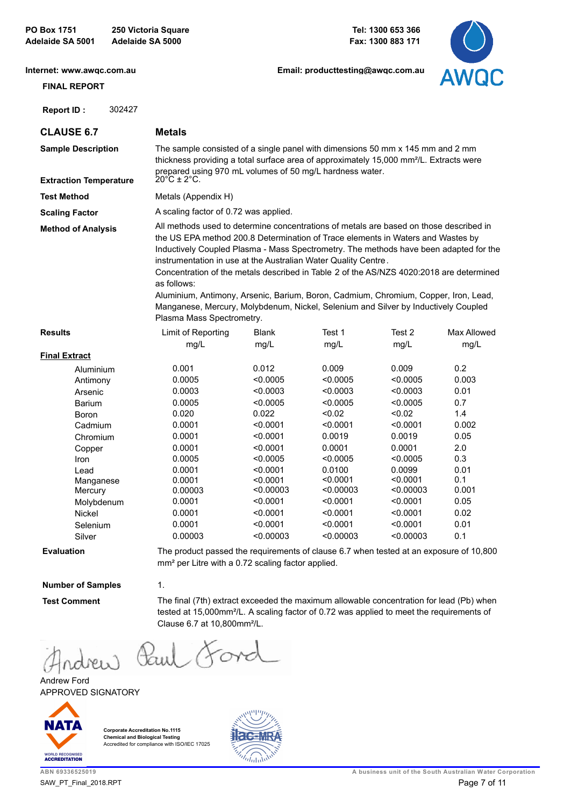#### **Internet: www.awqc.com.au**

**Email: producttesting@awqc.com.au**



| <b>FINAL REPORT</b>                                                                                                                                                                                                                                                                                                                                                                                                                                                                                                                                                                                                                                                                   |        |                                                                                                                                                                                                                                                                                    |                                                                                                                                                                             |                                                                                                                                                                        |                                                                                                                                                                        | <b>AVVUU</b>                                                                                                      |
|---------------------------------------------------------------------------------------------------------------------------------------------------------------------------------------------------------------------------------------------------------------------------------------------------------------------------------------------------------------------------------------------------------------------------------------------------------------------------------------------------------------------------------------------------------------------------------------------------------------------------------------------------------------------------------------|--------|------------------------------------------------------------------------------------------------------------------------------------------------------------------------------------------------------------------------------------------------------------------------------------|-----------------------------------------------------------------------------------------------------------------------------------------------------------------------------|------------------------------------------------------------------------------------------------------------------------------------------------------------------------|------------------------------------------------------------------------------------------------------------------------------------------------------------------------|-------------------------------------------------------------------------------------------------------------------|
| Report ID:                                                                                                                                                                                                                                                                                                                                                                                                                                                                                                                                                                                                                                                                            | 302427 |                                                                                                                                                                                                                                                                                    |                                                                                                                                                                             |                                                                                                                                                                        |                                                                                                                                                                        |                                                                                                                   |
| <b>CLAUSE 6.7</b>                                                                                                                                                                                                                                                                                                                                                                                                                                                                                                                                                                                                                                                                     |        | <b>Metals</b>                                                                                                                                                                                                                                                                      |                                                                                                                                                                             |                                                                                                                                                                        |                                                                                                                                                                        |                                                                                                                   |
| <b>Sample Description</b><br><b>Extraction Temperature</b>                                                                                                                                                                                                                                                                                                                                                                                                                                                                                                                                                                                                                            |        | The sample consisted of a single panel with dimensions 50 mm x 145 mm and 2 mm<br>thickness providing a total surface area of approximately 15,000 mm <sup>2</sup> /L. Extracts were<br>prepared using 970 mL volumes of 50 mg/L hardness water.<br>$20^{\circ}C \pm 2^{\circ}C$ . |                                                                                                                                                                             |                                                                                                                                                                        |                                                                                                                                                                        |                                                                                                                   |
| <b>Test Method</b>                                                                                                                                                                                                                                                                                                                                                                                                                                                                                                                                                                                                                                                                    |        | Metals (Appendix H)                                                                                                                                                                                                                                                                |                                                                                                                                                                             |                                                                                                                                                                        |                                                                                                                                                                        |                                                                                                                   |
| <b>Scaling Factor</b>                                                                                                                                                                                                                                                                                                                                                                                                                                                                                                                                                                                                                                                                 |        | A scaling factor of 0.72 was applied.                                                                                                                                                                                                                                              |                                                                                                                                                                             |                                                                                                                                                                        |                                                                                                                                                                        |                                                                                                                   |
| All methods used to determine concentrations of metals are based on those described in<br><b>Method of Analysis</b><br>the US EPA method 200.8 Determination of Trace elements in Waters and Wastes by<br>Inductively Coupled Plasma - Mass Spectrometry. The methods have been adapted for the<br>instrumentation in use at the Australian Water Quality Centre.<br>Concentration of the metals described in Table 2 of the AS/NZS 4020:2018 are determined<br>as follows:<br>Aluminium, Antimony, Arsenic, Barium, Boron, Cadmium, Chromium, Copper, Iron, Lead,<br>Manganese, Mercury, Molybdenum, Nickel, Selenium and Silver by Inductively Coupled<br>Plasma Mass Spectrometry. |        |                                                                                                                                                                                                                                                                                    |                                                                                                                                                                             |                                                                                                                                                                        |                                                                                                                                                                        |                                                                                                                   |
| <b>Results</b>                                                                                                                                                                                                                                                                                                                                                                                                                                                                                                                                                                                                                                                                        |        | Limit of Reporting<br>mg/L                                                                                                                                                                                                                                                         | <b>Blank</b><br>mg/L                                                                                                                                                        | Test 1<br>mg/L                                                                                                                                                         | Test 2<br>mg/L                                                                                                                                                         | Max Allowed<br>mg/L                                                                                               |
| <b>Final Extract</b>                                                                                                                                                                                                                                                                                                                                                                                                                                                                                                                                                                                                                                                                  |        |                                                                                                                                                                                                                                                                                    |                                                                                                                                                                             |                                                                                                                                                                        |                                                                                                                                                                        |                                                                                                                   |
| Aluminium<br>Antimony<br>Arsenic<br><b>Barium</b><br>Boron<br>Cadmium<br>Chromium<br>Copper<br>Iron<br>Lead<br>Manganese<br>Mercury<br>Molybdenum<br><b>Nickel</b><br>Selenium                                                                                                                                                                                                                                                                                                                                                                                                                                                                                                        |        | 0.001<br>0.0005<br>0.0003<br>0.0005<br>0.020<br>0.0001<br>0.0001<br>0.0001<br>0.0005<br>0.0001<br>0.0001<br>0.00003<br>0.0001<br>0.0001<br>0.0001                                                                                                                                  | 0.012<br>< 0.0005<br>< 0.0003<br>< 0.0005<br>0.022<br>< 0.0001<br>< 0.0001<br>< 0.0001<br>< 0.0005<br>< 0.0001<br>< 0.0001<br>< 0.00003<br>< 0.0001<br>< 0.0001<br>< 0.0001 | 0.009<br>< 0.0005<br>< 0.0003<br>< 0.0005<br>< 0.02<br>< 0.0001<br>0.0019<br>0.0001<br>< 0.0005<br>0.0100<br>< 0.0001<br>< 0.00003<br>< 0.0001<br>< 0.0001<br>< 0.0001 | 0.009<br>< 0.0005<br>< 0.0003<br>< 0.0005<br>< 0.02<br>< 0.0001<br>0.0019<br>0.0001<br>< 0.0005<br>0.0099<br>< 0.0001<br>< 0.00003<br>< 0.0001<br>< 0.0001<br>< 0.0001 | 0.2<br>0.003<br>0.01<br>0.7<br>1.4<br>0.002<br>0.05<br>2.0<br>0.3<br>0.01<br>0.1<br>0.001<br>0.05<br>0.02<br>0.01 |
| Silver                                                                                                                                                                                                                                                                                                                                                                                                                                                                                                                                                                                                                                                                                |        | 0.00003                                                                                                                                                                                                                                                                            | < 0.00003                                                                                                                                                                   | <0.00003                                                                                                                                                               | < 0.00003                                                                                                                                                              | 0.1                                                                                                               |

**Evaluation**

The product passed the requirements of clause 6.7 when tested at an exposure of 10,800 mm² per Litre with a 0.72 scaling factor applied.

### **Number of Samples**

**Test Comment**

The final (7th) extract exceeded the maximum allowable concentration for lead (Pb) when tested at 15,000mm²/L. A scaling factor of 0.72 was applied to meet the requirements of Clause 6.7 at 10,800mm²/L.

Paul Ford rdrew

1.

APPROVED SIGNATORY Andrew Ford



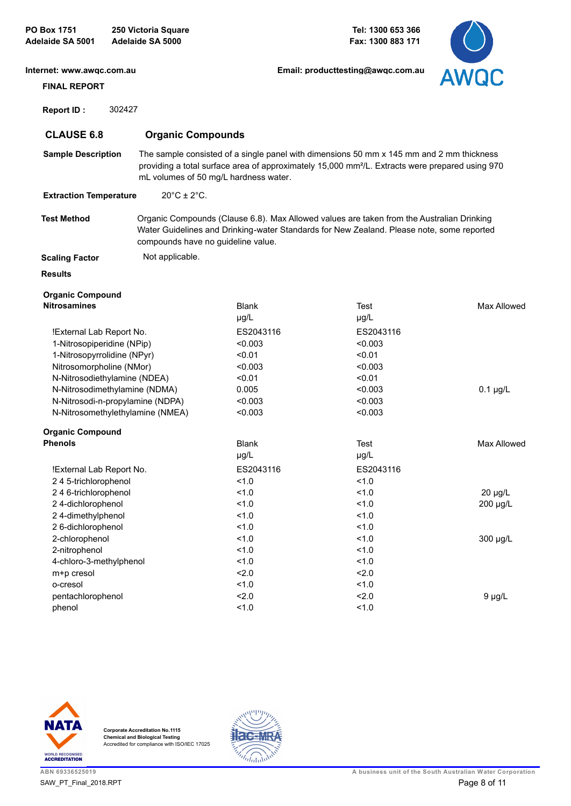| Internet: www.awgc.com.au        |                                    |                                       | Email: producttesting@awgc.com.au                                                                                                                                                                       | <b>AWQC</b>        |
|----------------------------------|------------------------------------|---------------------------------------|---------------------------------------------------------------------------------------------------------------------------------------------------------------------------------------------------------|--------------------|
| <b>FINAL REPORT</b>              |                                    |                                       |                                                                                                                                                                                                         |                    |
| 302427<br>Report ID:             |                                    |                                       |                                                                                                                                                                                                         |                    |
| <b>CLAUSE 6.8</b>                | <b>Organic Compounds</b>           |                                       |                                                                                                                                                                                                         |                    |
| <b>Sample Description</b>        |                                    | mL volumes of 50 mg/L hardness water. | The sample consisted of a single panel with dimensions 50 mm x 145 mm and 2 mm thickness<br>providing a total surface area of approximately 15,000 mm <sup>2</sup> /L. Extracts were prepared using 970 |                    |
| <b>Extraction Temperature</b>    | $20^{\circ}$ C ± 2 $^{\circ}$ C.   |                                       |                                                                                                                                                                                                         |                    |
| <b>Test Method</b>               | compounds have no guideline value. |                                       | Organic Compounds (Clause 6.8). Max Allowed values are taken from the Australian Drinking<br>Water Guidelines and Drinking-water Standards for New Zealand. Please note, some reported                  |                    |
| <b>Scaling Factor</b>            | Not applicable.                    |                                       |                                                                                                                                                                                                         |                    |
| <b>Results</b>                   |                                    |                                       |                                                                                                                                                                                                         |                    |
| <b>Organic Compound</b>          |                                    |                                       |                                                                                                                                                                                                         |                    |
| <b>Nitrosamines</b>              |                                    | <b>Blank</b>                          | Test                                                                                                                                                                                                    | Max Allowed        |
|                                  |                                    | µg/L                                  | $\mu$ g/L                                                                                                                                                                                               |                    |
| !External Lab Report No.         |                                    | ES2043116                             | ES2043116                                                                                                                                                                                               |                    |
| 1-Nitrosopiperidine (NPip)       |                                    | < 0.003                               | < 0.003                                                                                                                                                                                                 |                    |
| 1-Nitrosopyrrolidine (NPyr)      |                                    | < 0.01                                | < 0.01                                                                                                                                                                                                  |                    |
| Nitrosomorpholine (NMor)         |                                    | < 0.003                               | < 0.003                                                                                                                                                                                                 |                    |
| N-Nitrosodiethylamine (NDEA)     |                                    | < 0.01                                | < 0.01                                                                                                                                                                                                  |                    |
| N-Nitrosodimethylamine (NDMA)    |                                    | 0.005                                 | < 0.003                                                                                                                                                                                                 | $0.1 \mu g/L$      |
| N-Nitrosodi-n-propylamine (NDPA) |                                    | < 0.003                               | < 0.003                                                                                                                                                                                                 |                    |
| N-Nitrosomethylethylamine (NMEA) |                                    | < 0.003                               | < 0.003                                                                                                                                                                                                 |                    |
| <b>Organic Compound</b>          |                                    |                                       |                                                                                                                                                                                                         |                    |
| <b>Phenols</b>                   |                                    | <b>Blank</b>                          | Test                                                                                                                                                                                                    | <b>Max Allowed</b> |
|                                  |                                    | $\mu$ g/L                             | $\mu$ g/L                                                                                                                                                                                               |                    |
| !External Lab Report No.         |                                    | ES2043116                             | ES2043116                                                                                                                                                                                               |                    |
| 245-trichlorophenol              |                                    | 1.0                                   | 1.0                                                                                                                                                                                                     |                    |
| 246-trichlorophenol              |                                    | 1.0                                   | 1.0                                                                                                                                                                                                     | 20 µg/L            |
| 24-dichlorophenol                |                                    | 1.0                                   | 1.0                                                                                                                                                                                                     | 200 µg/L           |
| 24-dimethylphenol                |                                    | 1.0                                   | 1.0                                                                                                                                                                                                     |                    |
| 2 6-dichlorophenol               |                                    | 1.0                                   | 1.0                                                                                                                                                                                                     |                    |
| 2-chlorophenol                   |                                    | 1.0                                   | 1.0                                                                                                                                                                                                     | 300 µg/L           |
| 2-nitrophenol                    |                                    | 1.0                                   | 1.0                                                                                                                                                                                                     |                    |
| 4-chloro-3-methylphenol          |                                    | 1.0                                   | 1.0                                                                                                                                                                                                     |                    |
| m+p cresol                       |                                    | 2.0                                   | 2.0                                                                                                                                                                                                     |                    |
| o-cresol                         |                                    | 1.0                                   | 1.0                                                                                                                                                                                                     |                    |
| pentachlorophenol                |                                    | 2.0                                   | 2.0                                                                                                                                                                                                     | $9 \mu g/L$        |
| phenol                           |                                    | 1.0                                   | 1.0                                                                                                                                                                                                     |                    |
|                                  |                                    |                                       |                                                                                                                                                                                                         |                    |





 $\overline{\phantom{a}}$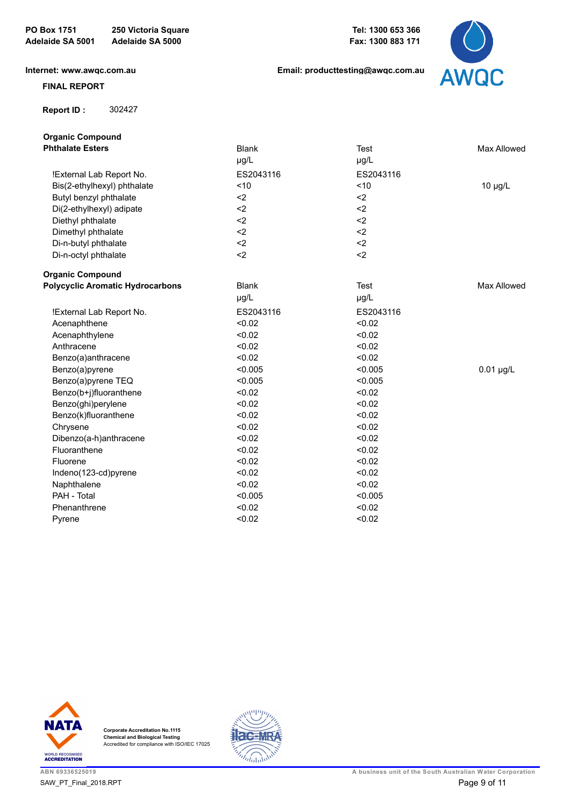**Email: producttesting@awqc.com.au**



## **FINAL REPORT**

 **[Report ID :](https://www.awqc.com.au)** 302427

**Organic Compound**

| <b>Phthalate Esters</b>                 | <b>Blank</b> | <b>Test</b> | Max Allowed  |
|-----------------------------------------|--------------|-------------|--------------|
|                                         | µg/L         | µg/L        |              |
| !External Lab Report No.                | ES2043116    | ES2043116   |              |
| Bis(2-ethylhexyl) phthalate             | < 10         | ~10         | $10 \mu g/L$ |
| Butyl benzyl phthalate                  | $2$          | $2$         |              |
| Di(2-ethylhexyl) adipate                | $2$          | $2$         |              |
| Diethyl phthalate                       | $2$          | $2$         |              |
| Dimethyl phthalate                      | $2$          | $2$         |              |
| Di-n-butyl phthalate                    | $2$          | $2$         |              |
| Di-n-octyl phthalate                    | $2$          | $2$         |              |
| <b>Organic Compound</b>                 |              |             |              |
| <b>Polycyclic Aromatic Hydrocarbons</b> | <b>Blank</b> | <b>Test</b> | Max Allowed  |
|                                         | µg/L         | µg/L        |              |
| !External Lab Report No.                | ES2043116    | ES2043116   |              |
| Acenaphthene                            | < 0.02       | < 0.02      |              |
| Acenaphthylene                          | < 0.02       | < 0.02      |              |
| Anthracene                              | < 0.02       | < 0.02      |              |
| Benzo(a)anthracene                      | < 0.02       | < 0.02      |              |
| Benzo(a)pyrene                          | < 0.005      | < 0.005     | $0.01$ µg/L  |
| Benzo(a)pyrene TEQ                      | < 0.005      | < 0.005     |              |
| Benzo(b+j)fluoranthene                  | < 0.02       | < 0.02      |              |
| Benzo(ghi)perylene                      | < 0.02       | < 0.02      |              |
| Benzo(k)fluoranthene                    | < 0.02       | < 0.02      |              |
| Chrysene                                | < 0.02       | < 0.02      |              |
| Dibenzo(a-h)anthracene                  | < 0.02       | < 0.02      |              |
| Fluoranthene                            | < 0.02       | < 0.02      |              |
| Fluorene                                | < 0.02       | < 0.02      |              |
| Indeno(123-cd)pyrene                    | < 0.02       | < 0.02      |              |
| Naphthalene                             | < 0.02       | < 0.02      |              |
| PAH - Total                             | < 0.005      | < 0.005     |              |
| Phenanthrene                            | < 0.02       | < 0.02      |              |
| Pyrene                                  | < 0.02       | < 0.02      |              |



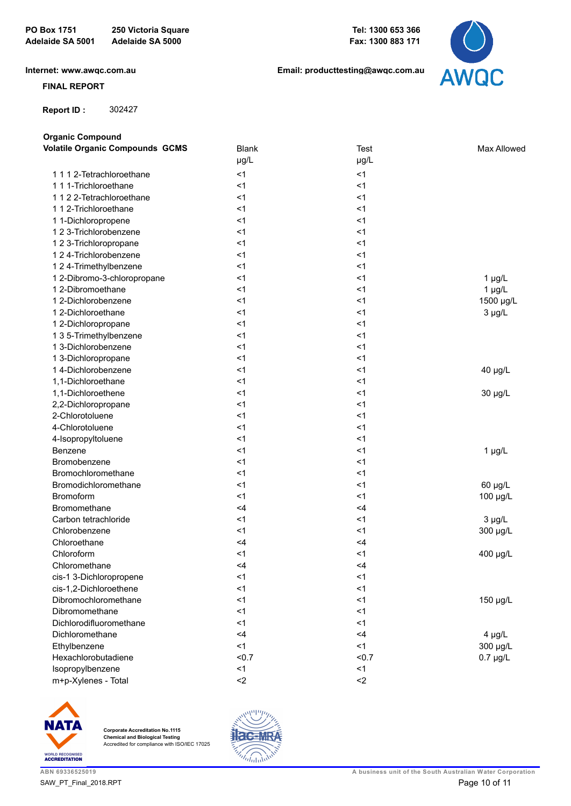

### **FINAL REPORT**

 **[Report ID :](https://www.awqc.com.au)** 302427

**Organic Compound**

| organic oonipodha<br><b>Volatile Organic Compounds GCMS</b> | <b>Blank</b> | <b>Test</b> | <b>Max Allowed</b> |
|-------------------------------------------------------------|--------------|-------------|--------------------|
|                                                             | µg/L         | µg/L        |                    |
| 1 1 1 2-Tetrachloroethane                                   | < 1          | < 1         |                    |
| 1 1 1-Trichloroethane                                       | < 1          | < 1         |                    |
| 1122-Tetrachloroethane                                      | < 1          | < 1         |                    |
| 1 1 2-Trichloroethane                                       | < 1          | < 1         |                    |
| 1 1-Dichloropropene                                         | < 1          | < 1         |                    |
| 1 2 3-Trichlorobenzene                                      | < 1          | < 1         |                    |
| 1 2 3-Trichloropropane                                      | < 1          | < 1         |                    |
| 1 2 4-Trichlorobenzene                                      | < 1          | < 1         |                    |
| 1 2 4-Trimethylbenzene                                      | < 1          | < 1         |                    |
| 1 2-Dibromo-3-chloropropane                                 | <1           | $<$ 1       | $1 \mu g/L$        |
| 1 2-Dibromoethane                                           | < 1          | $<$ 1       | $1 \mu g/L$        |
| 1 2-Dichlorobenzene                                         | < 1          | $<$ 1       | 1500 µg/L          |
| 1 2-Dichloroethane                                          | < 1          | < 1         | $3 \mu g/L$        |
| 1 2-Dichloropropane                                         | < 1          | < 1         |                    |
| 1 3 5-Trimethylbenzene                                      | < 1          | < 1         |                    |
| 1 3-Dichlorobenzene                                         | < 1          | < 1         |                    |
| 1 3-Dichloropropane                                         | < 1          | $<$ 1       |                    |
| 1 4-Dichlorobenzene                                         | < 1          | < 1         | 40 µg/L            |
| 1,1-Dichloroethane                                          | < 1          | < 1         |                    |
| 1,1-Dichloroethene                                          | < 1          | < 1         | 30 µg/L            |
| 2,2-Dichloropropane                                         | < 1          | < 1         |                    |
| 2-Chlorotoluene                                             | < 1          | < 1         |                    |
| 4-Chlorotoluene                                             | < 1          | < 1         |                    |
| 4-Isopropyltoluene                                          | < 1          | $<$ 1       |                    |
| Benzene                                                     | <1           | < 1         | $1 \mu g/L$        |
| Bromobenzene                                                | < 1          | < 1         |                    |
| Bromochloromethane                                          | < 1          | $<$ 1       |                    |
| Bromodichloromethane                                        | < 1          | $<$ 1       | 60 µg/L            |
| <b>Bromoform</b>                                            | < 1          | $<$ 1       | 100 µg/L           |
| Bromomethane                                                | <4           | $<$ 4       |                    |
| Carbon tetrachloride                                        | < 1          | $<$ 1       | $3 \mu g/L$        |
| Chlorobenzene                                               | < 1          | $<$ 1       | 300 µg/L           |
| Chloroethane                                                | <4           | $<$ 4       |                    |
| Chloroform                                                  | $<$ 1        | < 1         | 400 µg/L           |
| Chloromethane                                               | <4           | $<$ 4       |                    |
| cis-1 3-Dichloropropene                                     | $<$ 1        | $<$ 1       |                    |
| cis-1,2-Dichloroethene                                      | $\leq$ 1     | < 1         |                    |
| Dibromochloromethane                                        | < 1          | < 1         | 150 µg/L           |
| Dibromomethane                                              | < 1          | < 1         |                    |
| Dichlorodifluoromethane                                     | < 1          | < 1         |                    |
| Dichloromethane                                             | <4           | <4          | $4 \mu g/L$        |
| Ethylbenzene                                                | < 1          | < 1         | 300 µg/L           |
| Hexachlorobutadiene                                         | &0.7         | < 0.7       | $0.7 \mu g/L$      |
| Isopropylbenzene                                            | < 1          | < 1         |                    |
| m+p-Xylenes - Total                                         | $2$          | $2$         |                    |